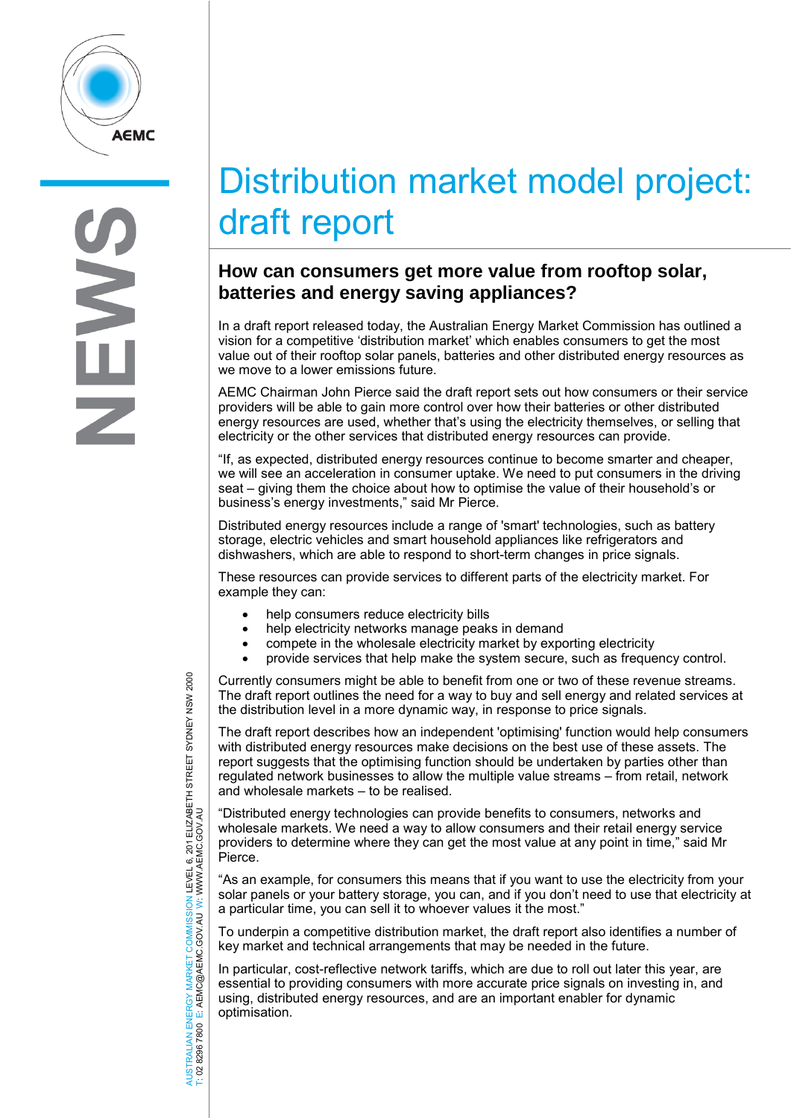

# Distribution market model project: draft report

# **How can consumers get more value from rooftop solar, batteries and energy saving appliances?**

In a draft report released today, the Australian Energy Market Commission has outlined a vision for a competitive 'distribution market' which enables consumers to get the most value out of their rooftop solar panels, batteries and other distributed energy resources as we move to a lower emissions future.

AEMC Chairman John Pierce said the draft report sets out how consumers or their service providers will be able to gain more control over how their batteries or other distributed energy resources are used, whether that's using the electricity themselves, or selling that electricity or the other services that distributed energy resources can provide.

"If, as expected, distributed energy resources continue to become smarter and cheaper, we will see an acceleration in consumer uptake. We need to put consumers in the driving seat – giving them the choice about how to optimise the value of their household's or business's energy investments," said Mr Pierce.

Distributed energy resources include a range of 'smart' technologies, such as battery storage, electric vehicles and smart household appliances like refrigerators and dishwashers, which are able to respond to short-term changes in price signals.

These resources can provide services to different parts of the electricity market. For example they can:

- help consumers reduce electricity bills
- help electricity networks manage peaks in demand
- compete in the wholesale electricity market by exporting electricity
- provide services that help make the system secure, such as frequency control.

Currently consumers might be able to benefit from one or two of these revenue streams. The draft report outlines the need for a way to buy and sell energy and related services at the distribution level in a more dynamic way, in response to price signals.

The draft report describes how an independent 'optimising' function would help consumers with distributed energy resources make decisions on the best use of these assets. The report suggests that the optimising function should be undertaken by parties other than regulated network businesses to allow the multiple value streams – from retail, network and wholesale markets – to be realised.

"Distributed energy technologies can provide benefits to consumers, networks and wholesale markets. We need a way to allow consumers and their retail energy service providers to determine where they can get the most value at any point in time," said Mr Pierce.

"As an example, for consumers this means that if you want to use the electricity from your solar panels or your battery storage, you can, and if you don't need to use that electricity at a particular time, you can sell it to whoever values it the most."

To underpin a competitive distribution market, the draft report also identifies a number of key market and technical arrangements that may be needed in the future.

In particular, cost-reflective network tariffs, which are due to roll out later this year, are essential to providing consumers with more accurate price signals on investing in, and using, distributed energy resources, and are an important enabler for dynamic optimisation.

AUSTRALIAN ENERGY MARKET COMMISSION LEVEL 6, 201 ELIZABETH STREET SYDNEY NSW 2000<br>T: 02 8296 7800 E: AEMC@AEMC.GOV.AU W: WWW.AEMC.GOV.AU AUSTRALIAN ENERGY MARKET COMMISSION LEVEL 6, 201 ELIZABETH STREET SYDNEY NSW 2000 W: WWW.AEMC.GOV.AU T: 02 8296 7800 E: AEMC@AEMC.GOV.AU